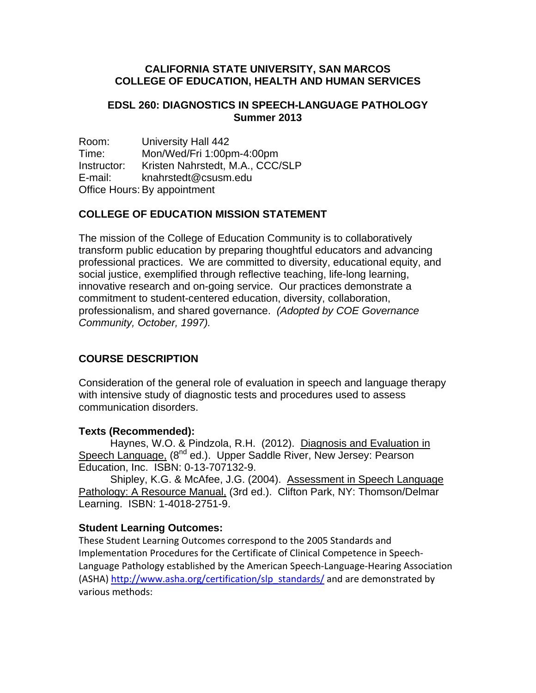### **CALIFORNIA STATE UNIVERSITY, SAN MARCOS COLLEGE OF EDUCATION, HEALTH AND HUMAN SERVICES**

## **EDSL 260: DIAGNOSTICS IN SPEECH-LANGUAGE PATHOLOGY Summer 2013**

Room: University Hall 442 Time: Mon/Wed/Fri 1:00pm-4:00pm Instructor: Kristen Nahrstedt, M.A., CCC/SLP E-mail: knahrstedt@csusm.edu Office Hours: By appointment

## **COLLEGE OF EDUCATION MISSION STATEMENT**

The mission of the College of Education Community is to collaboratively transform public education by preparing thoughtful educators and advancing professional practices. We are committed to diversity, educational equity, and social justice, exemplified through reflective teaching, life-long learning, innovative research and on-going service. Our practices demonstrate a commitment to student-centered education, diversity, collaboration, professionalism, and shared governance. *(Adopted by COE Governance Community, October, 1997).* 

# **COURSE DESCRIPTION**

Consideration of the general role of evaluation in speech and language therapy with intensive study of diagnostic tests and procedures used to assess communication disorders.

## **Texts (Recommended):**

Haynes, W.O. & Pindzola, R.H. (2012). Diagnosis and Evaluation in Speech Language, (8<sup>nd</sup> ed.). Upper Saddle River, New Jersey: Pearson Education, Inc. ISBN: 0-13-707132-9.

Shipley, K.G. & McAfee, J.G. (2004). Assessment in Speech Language Pathology: A Resource Manual, (3rd ed.). Clifton Park, NY: Thomson/Delmar Learning. ISBN: 1-4018-2751-9.

#### **Student Learning Outcomes:**

 These Student Learning Outcomes correspond to the 2005 Standards and Implementation Procedures for the Certificate of Clinical Competence in Speech‐ Language Pathology established by the American Speech‐Language‐Hearing Association (ASHA) http://www.asha.org/certification/slp\_standards/ and are demonstrated by various methods: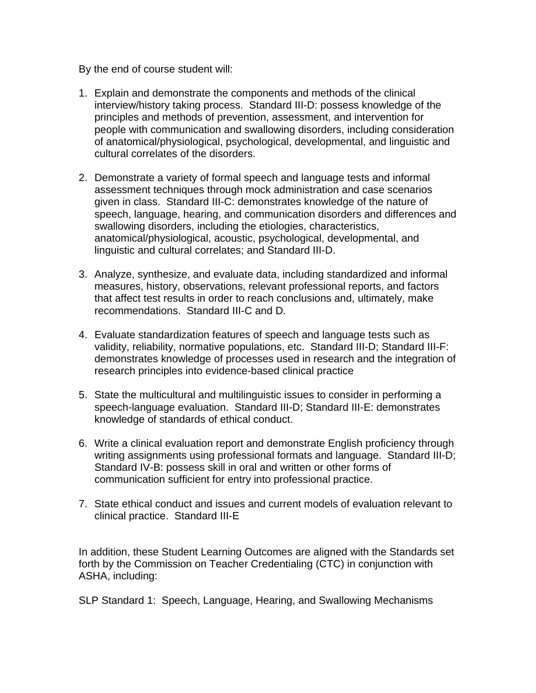By the end of course student will:

- 1. Explain and demonstrate the components and methods of the clinical interview/history taking process. Standard III-D: possess knowledge of the principles and methods of prevention, assessment, and intervention for people with communication and swallowing disorders, including consideration of anatomical/physiological, psychological, developmental, and linguistic and cultural correlates of the disorders.
- 2. Demonstrate a variety of formal speech and language tests and informal assessment techniques through mock administration and case scenarios given in class. Standard III-C: demonstrates knowledge of the nature of speech, language, hearing, and communication disorders and differences and swallowing disorders, including the etiologies, characteristics, anatomical/physiological, acoustic, psychological, developmental, and linguistic and cultural correlates; and Standard III-D.
- 3. Analyze, synthesize, and evaluate data, including standardized and informal measures, history, observations, relevant professional reports, and factors that affect test results in order to reach conclusions and, ultimately, make recommendations. Standard III-C and D.
- 4. Evaluate standardization features of speech and language tests such as validity, reliability, normative populations, etc. Standard III-D; Standard III-F: demonstrates knowledge of processes used in research and the integration of research principles into evidence-based clinical practice
- 5. State the multicultural and multilinguistic issues to consider in performing a speech-language evaluation. Standard III-D; Standard III-E: demonstrates knowledge of standards of ethical conduct.
- 6. Write a clinical evaluation report and demonstrate English proficiency through writing assignments using professional formats and language. Standard III-D; Standard IV-B: possess skill in oral and written or other forms of communication sufficient for entry into professional practice.
- 7. State ethical conduct and issues and current models of evaluation relevant to clinical practice. Standard III-E

In addition, these Student Learning Outcomes are aligned with the Standards set forth by the Commission on Teacher Credentialing (CTC) in conjunction with ASHA, including:

SLP Standard 1: Speech, Language, Hearing, and Swallowing Mechanisms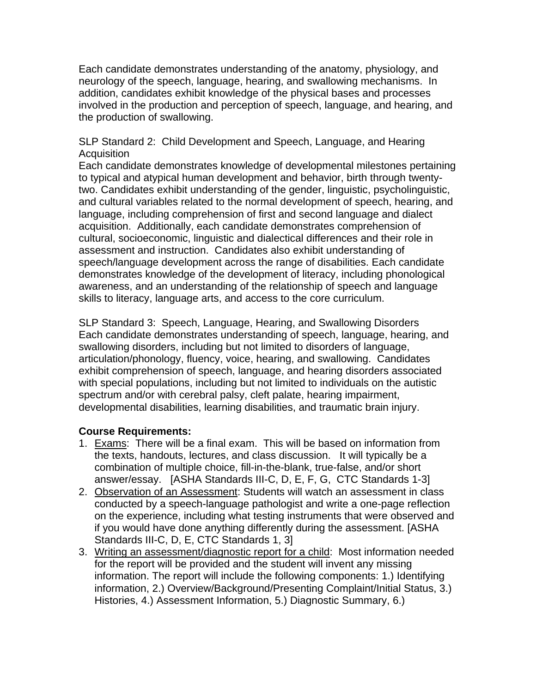Each candidate demonstrates understanding of the anatomy, physiology, and neurology of the speech, language, hearing, and swallowing mechanisms. In addition, candidates exhibit knowledge of the physical bases and processes involved in the production and perception of speech, language, and hearing, and the production of swallowing.

SLP Standard 2: Child Development and Speech, Language, and Hearing **Acquisition** 

Each candidate demonstrates knowledge of developmental milestones pertaining to typical and atypical human development and behavior, birth through twentytwo. Candidates exhibit understanding of the gender, linguistic, psycholinguistic, and cultural variables related to the normal development of speech, hearing, and language, including comprehension of first and second language and dialect acquisition. Additionally, each candidate demonstrates comprehension of cultural, socioeconomic, linguistic and dialectical differences and their role in assessment and instruction. Candidates also exhibit understanding of speech/language development across the range of disabilities. Each candidate demonstrates knowledge of the development of literacy, including phonological awareness, and an understanding of the relationship of speech and language skills to literacy, language arts, and access to the core curriculum.

SLP Standard 3: Speech, Language, Hearing, and Swallowing Disorders Each candidate demonstrates understanding of speech, language, hearing, and swallowing disorders, including but not limited to disorders of language, articulation/phonology, fluency, voice, hearing, and swallowing. Candidates exhibit comprehension of speech, language, and hearing disorders associated with special populations, including but not limited to individuals on the autistic spectrum and/or with cerebral palsy, cleft palate, hearing impairment, developmental disabilities, learning disabilities, and traumatic brain injury.

## **Course Requirements:**

- 1. Exams: There will be a final exam. This will be based on information from the texts, handouts, lectures, and class discussion. It will typically be a combination of multiple choice, fill-in-the-blank, true-false, and/or short answer/essay. [ASHA Standards III-C, D, E, F, G, CTC Standards 1-3]
- 2. Observation of an Assessment: Students will watch an assessment in class conducted by a speech-language pathologist and write a one-page reflection on the experience, including what testing instruments that were observed and if you would have done anything differently during the assessment. [ASHA Standards III-C, D, E, CTC Standards 1, 3]
- 3. Writing an assessment/diagnostic report for a child: Most information needed for the report will be provided and the student will invent any missing information. The report will include the following components: 1.) Identifying information, 2.) Overview/Background/Presenting Complaint/Initial Status, 3.) Histories, 4.) Assessment Information, 5.) Diagnostic Summary, 6.)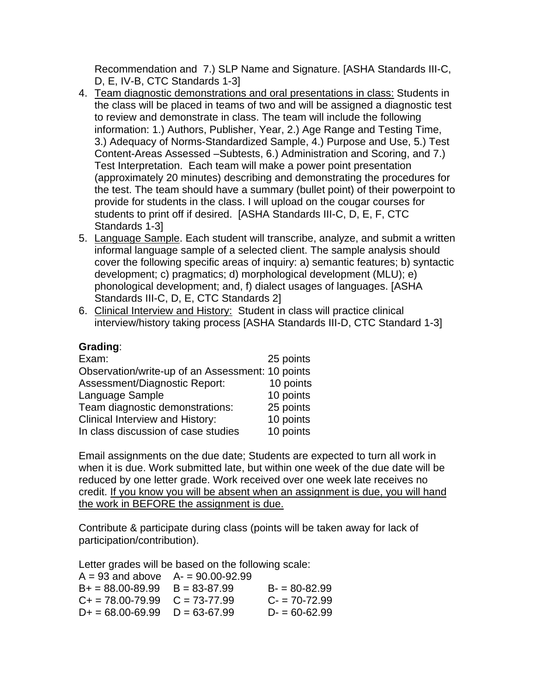Recommendation and 7.) SLP Name and Signature. [ASHA Standards III-C, D, E, IV-B, CTC Standards 1-3]

- 4. Team diagnostic demonstrations and oral presentations in class: Students in the class will be placed in teams of two and will be assigned a diagnostic test to review and demonstrate in class. The team will include the following information: 1.) Authors, Publisher, Year, 2.) Age Range and Testing Time, 3.) Adequacy of Norms-Standardized Sample, 4.) Purpose and Use, 5.) Test Content-Areas Assessed –Subtests, 6.) Administration and Scoring, and 7.) Test Interpretation. Each team will make a power point presentation (approximately 20 minutes) describing and demonstrating the procedures for the test. The team should have a summary (bullet point) of their powerpoint to provide for students in the class. I will upload on the cougar courses for students to print off if desired. [ASHA Standards III-C, D, E, F, CTC Standards 1-3]
- 5. Language Sample. Each student will transcribe, analyze, and submit a written informal language sample of a selected client. The sample analysis should cover the following specific areas of inquiry: a) semantic features; b) syntactic development; c) pragmatics; d) morphological development (MLU); e) phonological development; and, f) dialect usages of languages. [ASHA Standards III-C, D, E, CTC Standards 2]
- 6. Clinical Interview and History: Student in class will practice clinical interview/history taking process [ASHA Standards III-D, CTC Standard 1-3]

## **Grading**:

| Exam:                                            | 25 points |
|--------------------------------------------------|-----------|
| Observation/write-up of an Assessment: 10 points |           |
| Assessment/Diagnostic Report:                    | 10 points |
| Language Sample                                  | 10 points |
| Team diagnostic demonstrations:                  | 25 points |
| <b>Clinical Interview and History:</b>           | 10 points |
| In class discussion of case studies              | 10 points |

Email assignments on the due date; Students are expected to turn all work in when it is due. Work submitted late, but within one week of the due date will be reduced by one letter grade. Work received over one week late receives no credit. If you know you will be absent when an assignment is due, you will hand the work in BEFORE the assignment is due.

Contribute & participate during class (points will be taken away for lack of participation/contribution).

Letter grades will be based on the following scale:

| $A = 93$ and above $A = 90.00 - 92.99$ |                  |
|----------------------------------------|------------------|
| $B_+ = 88.00 - 89.99$ $B = 83 - 87.99$ | $B = 80 - 82.99$ |
| $C_+ = 78.00 - 79.99$ $C = 73 - 77.99$ | $C = 70 - 72.99$ |
| $D+ = 68.00 - 69.99$ $D = 63-67.99$    | $D = 60 - 62.99$ |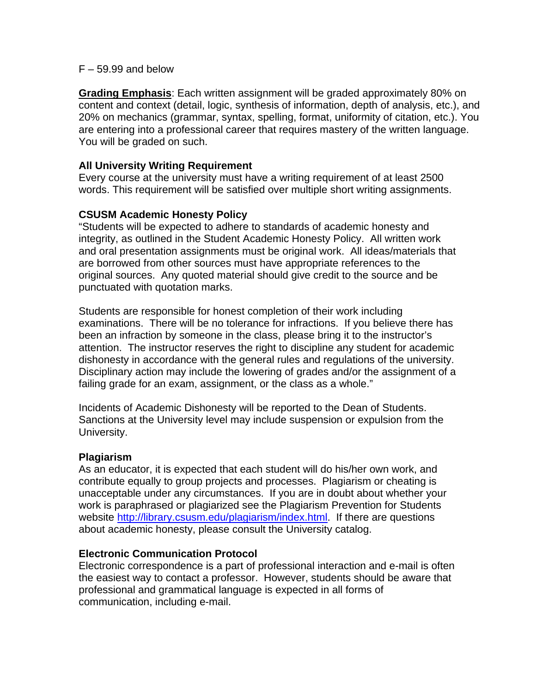#### $F - 59.99$  and below

**Grading Emphasis**: Each written assignment will be graded approximately 80% on content and context (detail, logic, synthesis of information, depth of analysis, etc.), and 20% on mechanics (grammar, syntax, spelling, format, uniformity of citation, etc.). You are entering into a professional career that requires mastery of the written language. You will be graded on such.

### **All University Writing Requirement**

Every course at the university must have a writing requirement of at least 2500 words. This requirement will be satisfied over multiple short writing assignments.

## **CSUSM Academic Honesty Policy**

"Students will be expected to adhere to standards of academic honesty and integrity, as outlined in the Student Academic Honesty Policy. All written work and oral presentation assignments must be original work. All ideas/materials that are borrowed from other sources must have appropriate references to the original sources. Any quoted material should give credit to the source and be punctuated with quotation marks.

Students are responsible for honest completion of their work including examinations. There will be no tolerance for infractions. If you believe there has been an infraction by someone in the class, please bring it to the instructor's attention. The instructor reserves the right to discipline any student for academic dishonesty in accordance with the general rules and regulations of the university. Disciplinary action may include the lowering of grades and/or the assignment of a failing grade for an exam, assignment, or the class as a whole."

Incidents of Academic Dishonesty will be reported to the Dean of Students. Sanctions at the University level may include suspension or expulsion from the University.

#### **Plagiarism**

As an educator, it is expected that each student will do his/her own work, and contribute equally to group projects and processes. Plagiarism or cheating is unacceptable under any circumstances. If you are in doubt about whether your work is paraphrased or plagiarized see the Plagiarism Prevention for Students website http://library.csusm.edu/plagiarism/index.html. If there are questions about academic honesty, please consult the University catalog.

#### **Electronic Communication Protocol**

Electronic correspondence is a part of professional interaction and e-mail is often the easiest way to contact a professor. However, students should be aware that professional and grammatical language is expected in all forms of communication, including e-mail.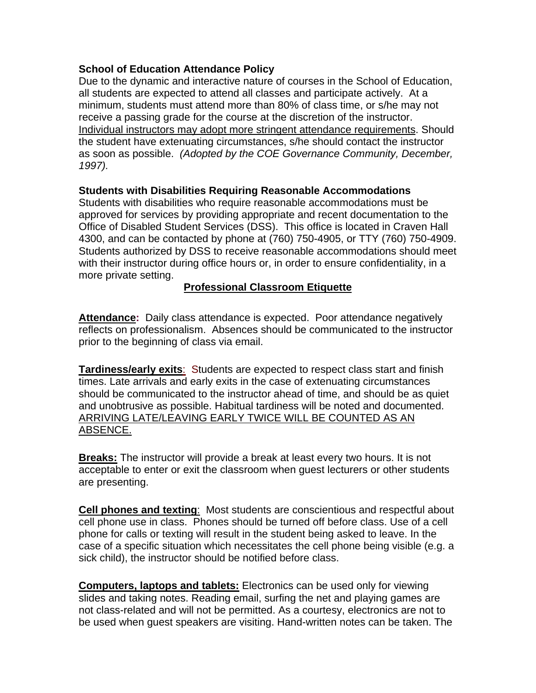## **School of Education Attendance Policy**

 *1997).* Due to the dynamic and interactive nature of courses in the School of Education, all students are expected to attend all classes and participate actively. At a minimum, students must attend more than 80% of class time, or s/he may not receive a passing grade for the course at the discretion of the instructor. Individual instructors may adopt more stringent attendance requirements. Should the student have extenuating circumstances, s/he should contact the instructor as soon as possible. *(Adopted by the COE Governance Community, December,* 

## **Students with Disabilities Requiring Reasonable Accommodations**

Students with disabilities who require reasonable accommodations must be approved for services by providing appropriate and recent documentation to the Office of Disabled Student Services (DSS). This office is located in Craven Hall 4300, and can be contacted by phone at (760) 750-4905, or TTY (760) 750-4909. Students authorized by DSS to receive reasonable accommodations should meet with their instructor during office hours or, in order to ensure confidentiality, in a more private setting.

## **Professional Classroom Etiquette**

**Attendance:** Daily class attendance is expected. Poor attendance negatively reflects on professionalism. Absences should be communicated to the instructor prior to the beginning of class via email.

**Tardiness/early exits**: Students are expected to respect class start and finish times. Late arrivals and early exits in the case of extenuating circumstances should be communicated to the instructor ahead of time, and should be as quiet and unobtrusive as possible. Habitual tardiness will be noted and documented. ARRIVING LATE/LEAVING EARLY TWICE WILL BE COUNTED AS AN ABSENCE.

**Breaks:** The instructor will provide a break at least every two hours. It is not acceptable to enter or exit the classroom when guest lecturers or other students are presenting.

 **Cell phones and texting**: Most students are conscientious and respectful about cell phone use in class. Phones should be turned off before class. Use of a cell phone for calls or texting will result in the student being asked to leave. In the case of a specific situation which necessitates the cell phone being visible (e.g. a sick child), the instructor should be notified before class.

**Computers, laptops and tablets:** Electronics can be used only for viewing slides and taking notes. Reading email, surfing the net and playing games are not class-related and will not be permitted. As a courtesy, electronics are not to be used when guest speakers are visiting. Hand-written notes can be taken. The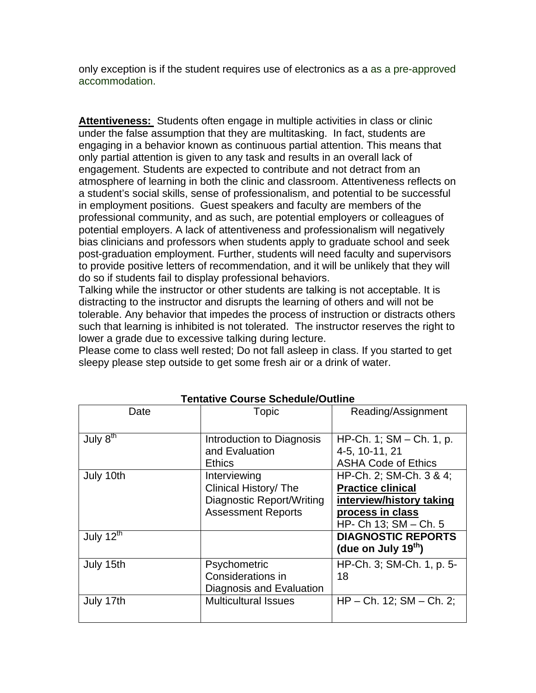only exception is if the student requires use of electronics as a as a pre-approved accommodation.

**Attentiveness:** Students often engage in multiple activities in class or clinic under the false assumption that they are multitasking. In fact, students are engaging in a behavior known as continuous partial attention. This means that only partial attention is given to any task and results in an overall lack of engagement. Students are expected to contribute and not detract from an atmosphere of learning in both the clinic and classroom. Attentiveness reflects on a student's social skills, sense of professionalism, and potential to be successful in employment positions. Guest speakers and faculty are members of the professional community, and as such, are potential employers or colleagues of potential employers. A lack of attentiveness and professionalism will negatively bias clinicians and professors when students apply to graduate school and seek post-graduation employment. Further, students will need faculty and supervisors to provide positive letters of recommendation, and it will be unlikely that they will do so if students fail to display professional behaviors.

Talking while the instructor or other students are talking is not acceptable. It is distracting to the instructor and disrupts the learning of others and will not be tolerable. Any behavior that impedes the process of instruction or distracts others such that learning is inhibited is not tolerated. The instructor reserves the right to lower a grade due to excessive talking during lecture.

Please come to class well rested; Do not fall asleep in class. If you started to get sleepy please step outside to get some fresh air or a drink of water.

| Date                            | Topic                                                                                           | Reading/Assignment                                                                                                           |
|---------------------------------|-------------------------------------------------------------------------------------------------|------------------------------------------------------------------------------------------------------------------------------|
| July $\overline{8}^{\text{th}}$ | Introduction to Diagnosis<br>and Evaluation<br><b>Ethics</b>                                    | HP-Ch. 1; $SM - Ch. 1$ , p.<br>4-5, 10-11, 21<br><b>ASHA Code of Ethics</b>                                                  |
| July 10th                       | Interviewing<br>Clinical History/ The<br>Diagnostic Report/Writing<br><b>Assessment Reports</b> | HP-Ch. 2; SM-Ch. 3 & 4;<br><b>Practice clinical</b><br>interview/history taking<br>process in class<br>HP- Ch 13; SM - Ch. 5 |
| July 12 <sup>th</sup>           |                                                                                                 | <b>DIAGNOSTIC REPORTS</b><br>(due on July $19th$ )                                                                           |
| July 15th                       | Psychometric<br>Considerations in<br>Diagnosis and Evaluation                                   | HP-Ch. 3; SM-Ch. 1, p. 5-<br>18                                                                                              |
| July 17th                       | <b>Multicultural Issues</b>                                                                     | $HP - Ch. 12$ ; $SM - Ch. 2$ ;                                                                                               |

**Tentative Course Schedule/Outline**